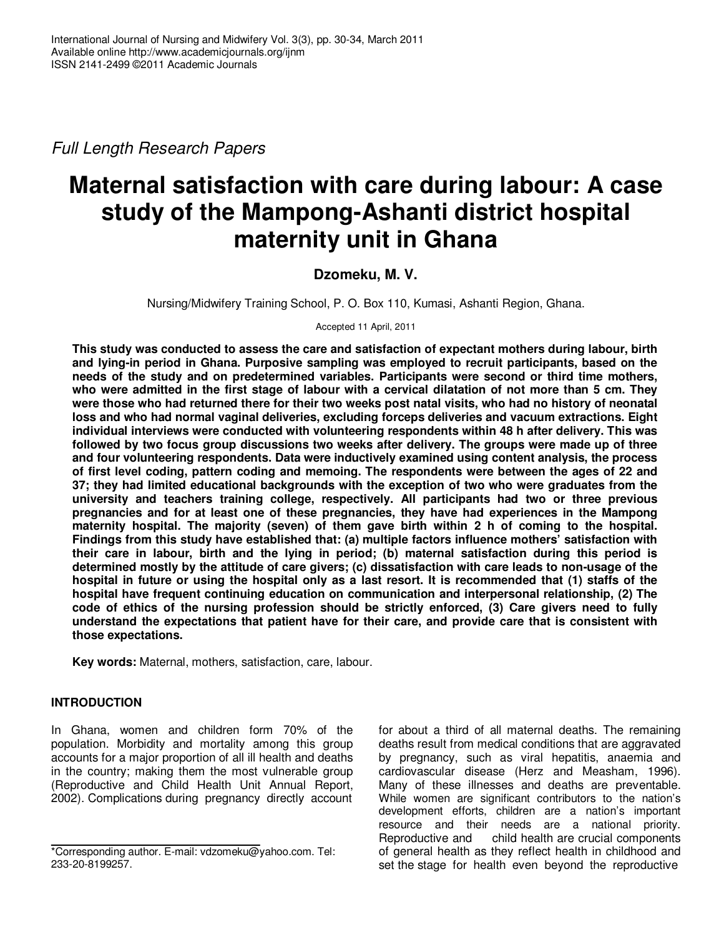Full Length Research Papers

# **Maternal satisfaction with care during labour: A case study of the Mampong-Ashanti district hospital maternity unit in Ghana**

# **Dzomeku, M. V.**

Nursing/Midwifery Training School, P. O. Box 110, Kumasi, Ashanti Region, Ghana.

Accepted 11 April, 2011

**This study was conducted to assess the care and satisfaction of expectant mothers during labour, birth and lying-in period in Ghana. Purposive sampling was employed to recruit participants, based on the needs of the study and on predetermined variables. Participants were second or third time mothers, who were admitted in the first stage of labour with a cervical dilatation of not more than 5 cm. They were those who had returned there for their two weeks post natal visits, who had no history of neonatal loss and who had normal vaginal deliveries, excluding forceps deliveries and vacuum extractions. Eight individual interviews were conducted with volunteering respondents within 48 h after delivery. This was followed by two focus group discussions two weeks after delivery. The groups were made up of three and four volunteering respondents. Data were inductively examined using content analysis, the process of first level coding, pattern coding and memoing. The respondents were between the ages of 22 and 37; they had limited educational backgrounds with the exception of two who were graduates from the university and teachers training college, respectively. All participants had two or three previous pregnancies and for at least one of these pregnancies, they have had experiences in the Mampong maternity hospital. The majority (seven) of them gave birth within 2 h of coming to the hospital. Findings from this study have established that: (a) multiple factors influence mothers' satisfaction with their care in labour, birth and the lying in period; (b) maternal satisfaction during this period is determined mostly by the attitude of care givers; (c) dissatisfaction with care leads to non-usage of the hospital in future or using the hospital only as a last resort. It is recommended that (1) staffs of the hospital have frequent continuing education on communication and interpersonal relationship, (2) The code of ethics of the nursing profession should be strictly enforced, (3) Care givers need to fully understand the expectations that patient have for their care, and provide care that is consistent with those expectations.** 

**Key words:** Maternal, mothers, satisfaction, care, labour.

## **INTRODUCTION**

In Ghana, women and children form 70% of the population. Morbidity and mortality among this group accounts for a major proportion of all ill health and deaths in the country; making them the most vulnerable group (Reproductive and Child Health Unit Annual Report, 2002). Complications during pregnancy directly account

for about a third of all maternal deaths. The remaining deaths result from medical conditions that are aggravated by pregnancy, such as viral hepatitis, anaemia and cardiovascular disease (Herz and Measham, 1996). Many of these illnesses and deaths are preventable. While women are significant contributors to the nation's development efforts, children are a nation's important resource and their needs are a national priority. Reproductive and child health are crucial components of general health as they reflect health in childhood and set the stage for health even beyond the reproductive

<sup>\*</sup>Corresponding author. E-mail: vdzomeku@yahoo.com. Tel: 233-20-8199257.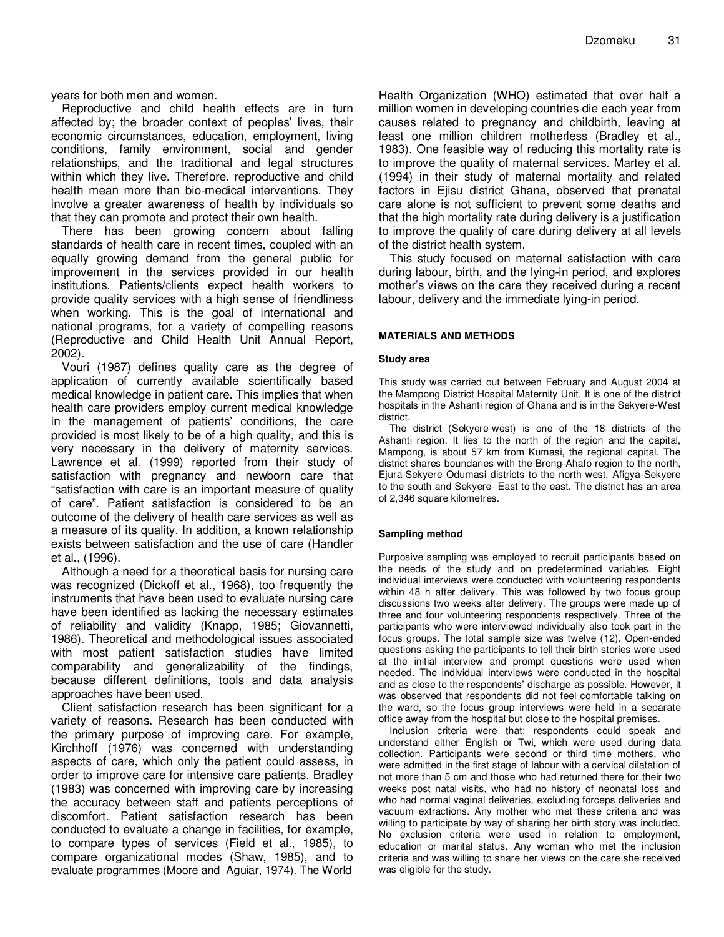years for both men and women.

Reproductive and child health effects are in turn affected by; the broader context of peoples' lives, their economic circumstances, education, employment, living conditions, family environment, social and gender relationships, and the traditional and legal structures within which they live. Therefore, reproductive and child health mean more than bio-medical interventions. They involve a greater awareness of health by individuals so that they can promote and protect their own health.

There has been growing concern about falling standards of health care in recent times, coupled with an equally growing demand from the general public for improvement in the services provided in our health institutions. Patients/clients expect health workers to provide quality services with a high sense of friendliness when working. This is the goal of international and national programs, for a variety of compelling reasons (Reproductive and Child Health Unit Annual Report, 2002).

Vouri (1987) defines quality care as the degree of application of currently available scientifically based medical knowledge in patient care. This implies that when health care providers employ current medical knowledge in the management of patients' conditions, the care provided is most likely to be of a high quality, and this is very necessary in the delivery of maternity services. Lawrence et al. (1999) reported from their study of satisfaction with pregnancy and newborn care that "satisfaction with care is an important measure of quality of care". Patient satisfaction is considered to be an outcome of the delivery of health care services as well as a measure of its quality. In addition, a known relationship exists between satisfaction and the use of care (Handler et al., (1996).

Although a need for a theoretical basis for nursing care was recognized (Dickoff et al., 1968), too frequently the instruments that have been used to evaluate nursing care have been identified as lacking the necessary estimates of reliability and validity (Knapp, 1985; Giovannetti, 1986). Theoretical and methodological issues associated with most patient satisfaction studies have limited comparability and generalizability of the findings, because different definitions, tools and data analysis approaches have been used.

Client satisfaction research has been significant for a variety of reasons. Research has been conducted with the primary purpose of improving care. For example, Kirchhoff (1976) was concerned with understanding aspects of care, which only the patient could assess, in order to improve care for intensive care patients. Bradley (1983) was concerned with improving care by increasing the accuracy between staff and patients perceptions of discomfort. Patient satisfaction research has been conducted to evaluate a change in facilities, for example, to compare types of services (Field et al., 1985), to compare organizational modes (Shaw, 1985), and to evaluate programmes (Moore and Aguiar, 1974). The World Health Organization (WHO) estimated that over half a million women in developing countries die each year from causes related to pregnancy and childbirth, leaving at least one million children motherless (Bradley et al., 1983). One feasible way of reducing this mortality rate is to improve the quality of maternal services. Martey et al. (1994) in their study of maternal mortality and related factors in Ejisu district Ghana, observed that prenatal care alone is not sufficient to prevent some deaths and that the high mortality rate during delivery is a justification to improve the quality of care during delivery at all levels of the district health system.

This study focused on maternal satisfaction with care during labour, birth, and the lying-in period, and explores mother's views on the care they received during a recent labour, delivery and the immediate lying-in period.

#### **MATERIALS AND METHODS**

#### **Study area**

This study was carried out between February and August 2004 at the Mampong District Hospital Maternity Unit. It is one of the district hospitals in the Ashanti region of Ghana and is in the Sekyere-West district.

The district (Sekyere-west) is one of the 18 districts of the Ashanti region. It lies to the north of the region and the capital, Mampong, is about 57 km from Kumasi, the regional capital. The district shares boundaries with the Brong-Ahafo region to the north, Ejura-Sekyere Odumasi districts to the north-west, Afigya-Sekyere to the south and Sekyere- East to the east. The district has an area of 2,346 square kilometres.

#### **Sampling method**

Purposive sampling was employed to recruit participants based on the needs of the study and on predetermined variables. Eight individual interviews were conducted with volunteering respondents within 48 h after delivery. This was followed by two focus group discussions two weeks after delivery. The groups were made up of three and four volunteering respondents respectively. Three of the participants who were interviewed individually also took part in the focus groups. The total sample size was twelve (12). Open-ended questions asking the participants to tell their birth stories were used at the initial interview and prompt questions were used when needed. The individual interviews were conducted in the hospital and as close to the respondents' discharge as possible. However, it was observed that respondents did not feel comfortable talking on the ward, so the focus group interviews were held in a separate office away from the hospital but close to the hospital premises.

Inclusion criteria were that: respondents could speak and understand either English or Twi, which were used during data collection. Participants were second or third time mothers, who were admitted in the first stage of labour with a cervical dilatation of not more than 5 cm and those who had returned there for their two weeks post natal visits, who had no history of neonatal loss and who had normal vaginal deliveries, excluding forceps deliveries and vacuum extractions. Any mother who met these criteria and was willing to participate by way of sharing her birth story was included. No exclusion criteria were used in relation to employment, education or marital status. Any woman who met the inclusion criteria and was willing to share her views on the care she received was eligible for the study.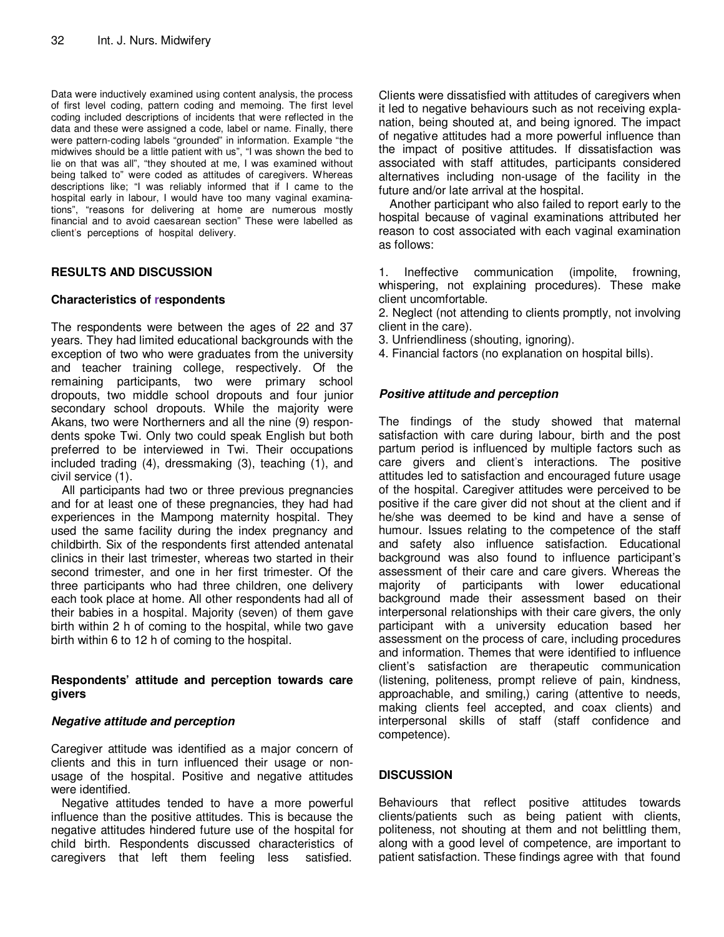Data were inductively examined using content analysis, the process of first level coding, pattern coding and memoing. The first level coding included descriptions of incidents that were reflected in the data and these were assigned a code, label or name. Finally, there were pattern-coding labels "grounded" in information. Example "the midwives should be a little patient with us", "I was shown the bed to lie on that was all", "they shouted at me, I was examined without being talked to" were coded as attitudes of caregivers. Whereas descriptions like; "I was reliably informed that if I came to the hospital early in labour, I would have too many vaginal examinations", "reasons for delivering at home are numerous mostly financial and to avoid caesarean section" These were labelled as client's perceptions of hospital delivery.

## **RESULTS AND DISCUSSION**

## **Characteristics of respondents**

The respondents were between the ages of 22 and 37 years. They had limited educational backgrounds with the exception of two who were graduates from the university and teacher training college, respectively. Of the remaining participants, two were primary school dropouts, two middle school dropouts and four junior secondary school dropouts. While the majority were Akans, two were Northerners and all the nine (9) respondents spoke Twi. Only two could speak English but both preferred to be interviewed in Twi. Their occupations included trading (4), dressmaking (3), teaching (1), and civil service (1).

All participants had two or three previous pregnancies and for at least one of these pregnancies, they had had experiences in the Mampong maternity hospital. They used the same facility during the index pregnancy and childbirth. Six of the respondents first attended antenatal clinics in their last trimester, whereas two started in their second trimester, and one in her first trimester. Of the three participants who had three children, one delivery each took place at home. All other respondents had all of their babies in a hospital. Majority (seven) of them gave birth within 2 h of coming to the hospital, while two gave birth within 6 to 12 h of coming to the hospital.

## **Respondents' attitude and perception towards care givers**

## **Negative attitude and perception**

Caregiver attitude was identified as a major concern of clients and this in turn influenced their usage or nonusage of the hospital. Positive and negative attitudes were identified.

Negative attitudes tended to have a more powerful influence than the positive attitudes. This is because the negative attitudes hindered future use of the hospital for child birth. Respondents discussed characteristics of caregivers that left them feeling less satisfied.

Clients were dissatisfied with attitudes of caregivers when it led to negative behaviours such as not receiving explanation, being shouted at, and being ignored. The impact of negative attitudes had a more powerful influence than the impact of positive attitudes. If dissatisfaction was associated with staff attitudes, participants considered alternatives including non-usage of the facility in the future and/or late arrival at the hospital.

Another participant who also failed to report early to the hospital because of vaginal examinations attributed her reason to cost associated with each vaginal examination as follows:

1. Ineffective communication (impolite, frowning, whispering, not explaining procedures). These make client uncomfortable.

2. Neglect (not attending to clients promptly, not involving client in the care).

3. Unfriendliness (shouting, ignoring).

4. Financial factors (no explanation on hospital bills).

# **Positive attitude and perception**

The findings of the study showed that maternal satisfaction with care during labour, birth and the post partum period is influenced by multiple factors such as care givers and client's interactions. The positive attitudes led to satisfaction and encouraged future usage of the hospital. Caregiver attitudes were perceived to be positive if the care giver did not shout at the client and if he/she was deemed to be kind and have a sense of humour. Issues relating to the competence of the staff and safety also influence satisfaction. Educational background was also found to influence participant's assessment of their care and care givers. Whereas the majority of participants with lower educational background made their assessment based on their interpersonal relationships with their care givers, the only participant with a university education based her assessment on the process of care, including procedures and information. Themes that were identified to influence client's satisfaction are therapeutic communication (listening, politeness, prompt relieve of pain, kindness, approachable, and smiling,) caring (attentive to needs, making clients feel accepted, and coax clients) and interpersonal skills of staff (staff confidence and competence).

# **DISCUSSION**

Behaviours that reflect positive attitudes towards clients/patients such as being patient with clients, politeness, not shouting at them and not belittling them, along with a good level of competence, are important to patient satisfaction. These findings agree with that found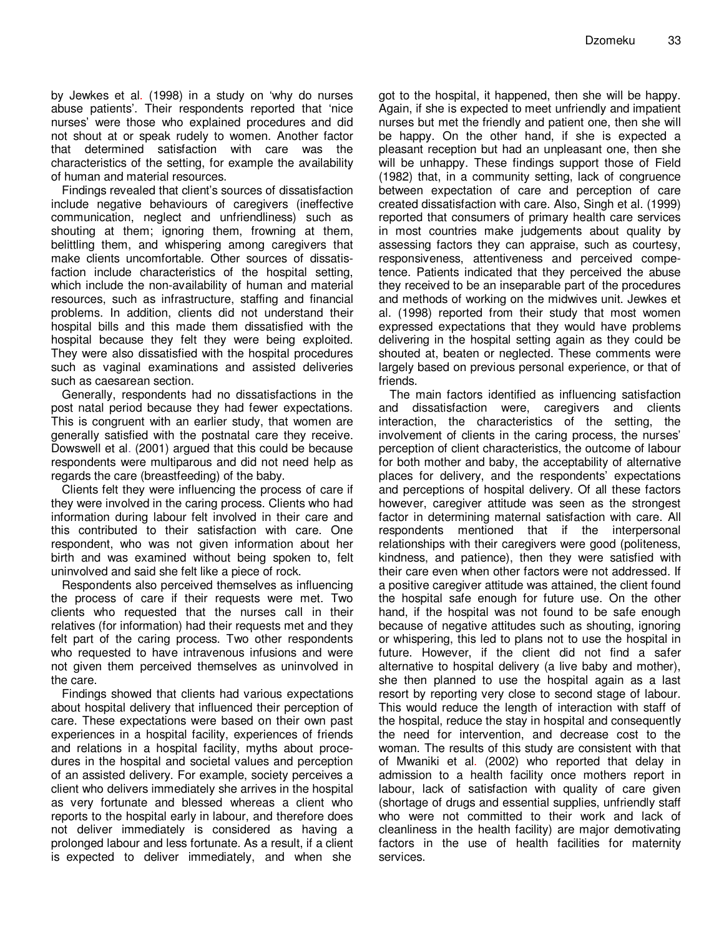by Jewkes et al. (1998) in a study on 'why do nurses abuse patients'. Their respondents reported that 'nice nurses' were those who explained procedures and did not shout at or speak rudely to women. Another factor that determined satisfaction with care was the characteristics of the setting, for example the availability of human and material resources.

Findings revealed that client's sources of dissatisfaction include negative behaviours of caregivers (ineffective communication, neglect and unfriendliness) such as shouting at them; ignoring them, frowning at them, belittling them, and whispering among caregivers that make clients uncomfortable. Other sources of dissatisfaction include characteristics of the hospital setting, which include the non-availability of human and material resources, such as infrastructure, staffing and financial problems. In addition, clients did not understand their hospital bills and this made them dissatisfied with the hospital because they felt they were being exploited. They were also dissatisfied with the hospital procedures such as vaginal examinations and assisted deliveries such as caesarean section.

Generally, respondents had no dissatisfactions in the post natal period because they had fewer expectations. This is congruent with an earlier study, that women are generally satisfied with the postnatal care they receive. Dowswell et al. (2001) argued that this could be because respondents were multiparous and did not need help as regards the care (breastfeeding) of the baby.

Clients felt they were influencing the process of care if they were involved in the caring process. Clients who had information during labour felt involved in their care and this contributed to their satisfaction with care. One respondent, who was not given information about her birth and was examined without being spoken to, felt uninvolved and said she felt like a piece of rock.

Respondents also perceived themselves as influencing the process of care if their requests were met. Two clients who requested that the nurses call in their relatives (for information) had their requests met and they felt part of the caring process. Two other respondents who requested to have intravenous infusions and were not given them perceived themselves as uninvolved in the care.

Findings showed that clients had various expectations about hospital delivery that influenced their perception of care. These expectations were based on their own past experiences in a hospital facility, experiences of friends and relations in a hospital facility, myths about procedures in the hospital and societal values and perception of an assisted delivery. For example, society perceives a client who delivers immediately she arrives in the hospital as very fortunate and blessed whereas a client who reports to the hospital early in labour, and therefore does not deliver immediately is considered as having a prolonged labour and less fortunate. As a result, if a client is expected to deliver immediately, and when she

got to the hospital, it happened, then she will be happy. Again, if she is expected to meet unfriendly and impatient nurses but met the friendly and patient one, then she will be happy. On the other hand, if she is expected a pleasant reception but had an unpleasant one, then she will be unhappy. These findings support those of Field (1982) that, in a community setting, lack of congruence between expectation of care and perception of care created dissatisfaction with care. Also, Singh et al. (1999) reported that consumers of primary health care services in most countries make judgements about quality by assessing factors they can appraise, such as courtesy, responsiveness, attentiveness and perceived competence. Patients indicated that they perceived the abuse they received to be an inseparable part of the procedures and methods of working on the midwives unit. Jewkes et al. (1998) reported from their study that most women expressed expectations that they would have problems delivering in the hospital setting again as they could be shouted at, beaten or neglected. These comments were largely based on previous personal experience, or that of friends.

The main factors identified as influencing satisfaction and dissatisfaction were, caregivers and clients interaction, the characteristics of the setting, the involvement of clients in the caring process, the nurses' perception of client characteristics, the outcome of labour for both mother and baby, the acceptability of alternative places for delivery, and the respondents' expectations and perceptions of hospital delivery. Of all these factors however, caregiver attitude was seen as the strongest factor in determining maternal satisfaction with care. All respondents mentioned that if the interpersonal relationships with their caregivers were good (politeness, kindness, and patience), then they were satisfied with their care even when other factors were not addressed. If a positive caregiver attitude was attained, the client found the hospital safe enough for future use. On the other hand, if the hospital was not found to be safe enough because of negative attitudes such as shouting, ignoring or whispering, this led to plans not to use the hospital in future. However, if the client did not find a safer alternative to hospital delivery (a live baby and mother), she then planned to use the hospital again as a last resort by reporting very close to second stage of labour. This would reduce the length of interaction with staff of the hospital, reduce the stay in hospital and consequently the need for intervention, and decrease cost to the woman. The results of this study are consistent with that of Mwaniki et al. (2002) who reported that delay in admission to a health facility once mothers report in labour, lack of satisfaction with quality of care given (shortage of drugs and essential supplies, unfriendly staff who were not committed to their work and lack of cleanliness in the health facility) are major demotivating factors in the use of health facilities for maternity services.